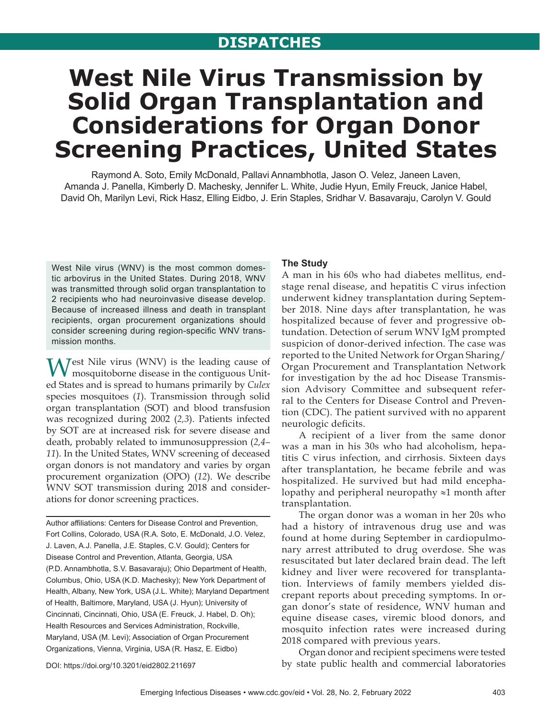# **DISPATCHES**

# **West Nile Virus Transmission by Solid Organ Transplantation and Considerations for Organ Donor Screening Practices, United States**

Raymond A. Soto, Emily McDonald, Pallavi Annambhotla, Jason O. Velez, Janeen Laven, Amanda J. Panella, Kimberly D. Machesky, Jennifer L. White, Judie Hyun, Emily Freuck, Janice Habel, David Oh, Marilyn Levi, Rick Hasz, Elling Eidbo, J. Erin Staples, Sridhar V. Basavaraju, Carolyn V. Gould

West Nile virus (WNV) is the most common domestic arbovirus in the United States. During 2018, WNV was transmitted through solid organ transplantation to 2 recipients who had neuroinvasive disease develop. Because of increased illness and death in transplant recipients, organ procurement organizations should consider screening during region-specific WNV transmission months.

Test Nile virus (WNV) is the leading cause of mosquitoborne disease in the contiguous United States and is spread to humans primarily by *Culex* species mosquitoes (*1*). Transmission through solid organ transplantation (SOT) and blood transfusion was recognized during 2002 (*2,3*). Patients infected by SOT are at increased risk for severe disease and death, probably related to immunosuppression (*2,4– 11*). In the United States, WNV screening of deceased organ donors is not mandatory and varies by organ procurement organization (OPO) (*12*). We describe WNV SOT transmission during 2018 and considerations for donor screening practices.

Author affiliations: Centers for Disease Control and Prevention, Fort Collins, Colorado, USA (R.A. Soto, E. McDonald, J.O. Velez, J. Laven, A.J. Panella, J.E. Staples, C.V. Gould); Centers for Disease Control and Prevention, Atlanta, Georgia, USA (P.D. Annambhotla, S.V. Basavaraju); Ohio Department of Health, Columbus, Ohio, USA (K.D. Machesky); New York Department of Health, Albany, New York, USA (J.L. White); Maryland Department of Health, Baltimore, Maryland, USA (J. Hyun); University of Cincinnati, Cincinnati, Ohio, USA (E. Freuck, J. Habel, D. Oh); Health Resources and Services Administration, Rockville, Maryland, USA (M. Levi); Association of Organ Procurement Organizations, Vienna, Virginia, USA (R. Hasz, E. Eidbo)

#### **The Study**

A man in his 60s who had diabetes mellitus, endstage renal disease, and hepatitis C virus infection underwent kidney transplantation during September 2018. Nine days after transplantation, he was hospitalized because of fever and progressive obtundation. Detection of serum WNV IgM prompted suspicion of donor-derived infection. The case was reported to the United Network for Organ Sharing/ Organ Procurement and Transplantation Network for investigation by the ad hoc Disease Transmission Advisory Committee and subsequent referral to the Centers for Disease Control and Prevention (CDC). The patient survived with no apparent neurologic deficits.

A recipient of a liver from the same donor was a man in his 30s who had alcoholism, hepatitis C virus infection, and cirrhosis. Sixteen days after transplantation, he became febrile and was hospitalized. He survived but had mild encephalopathy and peripheral neuropathy ≈1 month after transplantation.

The organ donor was a woman in her 20s who had a history of intravenous drug use and was found at home during September in cardiopulmonary arrest attributed to drug overdose. She was resuscitated but later declared brain dead. The left kidney and liver were recovered for transplantation. Interviews of family members yielded discrepant reports about preceding symptoms. In organ donor's state of residence, WNV human and equine disease cases, viremic blood donors, and mosquito infection rates were increased during 2018 compared with previous years.

Organ donor and recipient specimens were tested by state public health and commercial laboratories

DOI: https://doi.org/10.3201/eid2802.211697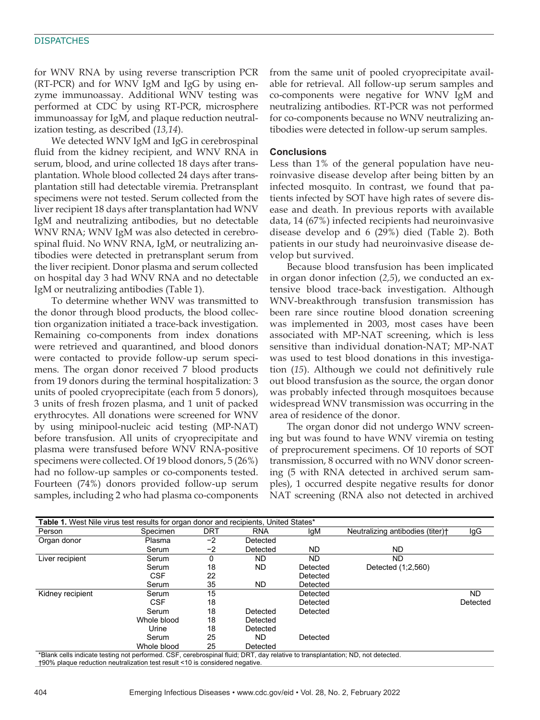#### **DISPATCHES**

for WNV RNA by using reverse transcription PCR (RT-PCR) and for WNV IgM and IgG by using enzyme immunoassay. Additional WNV testing was performed at CDC by using RT-PCR, microsphere immunoassay for IgM, and plaque reduction neutralization testing, as described (*13,14*).

We detected WNV IgM and IgG in cerebrospinal fluid from the kidney recipient, and WNV RNA in serum, blood, and urine collected 18 days after transplantation. Whole blood collected 24 days after transplantation still had detectable viremia. Pretransplant specimens were not tested. Serum collected from the liver recipient 18 days after transplantation had WNV IgM and neutralizing antibodies, but no detectable WNV RNA; WNV IgM was also detected in cerebrospinal fluid. No WNV RNA, IgM, or neutralizing antibodies were detected in pretransplant serum from the liver recipient. Donor plasma and serum collected on hospital day 3 had WNV RNA and no detectable IgM or neutralizing antibodies (Table 1).

To determine whether WNV was transmitted to the donor through blood products, the blood collection organization initiated a trace-back investigation. Remaining co-components from index donations were retrieved and quarantined, and blood donors were contacted to provide follow-up serum specimens. The organ donor received 7 blood products from 19 donors during the terminal hospitalization: 3 units of pooled cryoprecipitate (each from 5 donors), 3 units of fresh frozen plasma, and 1 unit of packed erythrocytes. All donations were screened for WNV by using minipool-nucleic acid testing (MP-NAT) before transfusion. All units of cryoprecipitate and plasma were transfused before WNV RNA-positive specimens were collected. Of 19 blood donors, 5 (26%) had no follow-up samples or co-components tested. Fourteen (74%) donors provided follow-up serum samples, including 2 who had plasma co-components

from the same unit of pooled cryoprecipitate available for retrieval. All follow-up serum samples and co-components were negative for WNV IgM and neutralizing antibodies. RT-PCR was not performed for co-components because no WNV neutralizing antibodies were detected in follow-up serum samples.

## **Conclusions**

Less than 1% of the general population have neuroinvasive disease develop after being bitten by an infected mosquito. In contrast, we found that patients infected by SOT have high rates of severe disease and death. In previous reports with available data, 14 (67%) infected recipients had neuroinvasive disease develop and 6 (29%) died (Table 2). Both patients in our study had neuroinvasive disease develop but survived.

Because blood transfusion has been implicated in organ donor infection (*2,5*), we conducted an extensive blood trace-back investigation. Although WNV-breakthrough transfusion transmission has been rare since routine blood donation screening was implemented in 2003, most cases have been associated with MP-NAT screening, which is less sensitive than individual donation-NAT; MP-NAT was used to test blood donations in this investigation (*15*). Although we could not definitively rule out blood transfusion as the source, the organ donor was probably infected through mosquitoes because widespread WNV transmission was occurring in the area of residence of the donor.

The organ donor did not undergo WNV screening but was found to have WNV viremia on testing of preprocurement specimens. Of 10 reports of SOT transmission, 8 occurred with no WNV donor screening (5 with RNA detected in archived serum samples), 1 occurred despite negative results for donor NAT screening (RNA also not detected in archived

| <b>Table 1.</b> West Nile virus test results for organ donor and recipients, United States*                                    |             |            |            |           |                                  |          |  |  |  |  |
|--------------------------------------------------------------------------------------------------------------------------------|-------------|------------|------------|-----------|----------------------------------|----------|--|--|--|--|
| Person                                                                                                                         | Specimen    | <b>DRT</b> | <b>RNA</b> | lgM       | Neutralizing antibodies (titer)+ | lgG      |  |  |  |  |
| Organ donor                                                                                                                    | Plasma      | -2         | Detected   |           |                                  |          |  |  |  |  |
|                                                                                                                                | Serum       | $-2$       | Detected   | ND        | ND.                              |          |  |  |  |  |
| Liver recipient                                                                                                                | Serum       | 0          | <b>ND</b>  | <b>ND</b> | ND.                              |          |  |  |  |  |
|                                                                                                                                | Serum       | 18         | <b>ND</b>  | Detected  | Detected (1:2,560)               |          |  |  |  |  |
|                                                                                                                                | <b>CSF</b>  | 22         |            | Detected  |                                  |          |  |  |  |  |
|                                                                                                                                | Serum       | 35         | ND         | Detected  |                                  |          |  |  |  |  |
| Kidney recipient                                                                                                               | Serum       | 15         |            | Detected  |                                  | ND.      |  |  |  |  |
|                                                                                                                                | <b>CSF</b>  | 18         |            | Detected  |                                  | Detected |  |  |  |  |
|                                                                                                                                | Serum       | 18         | Detected   | Detected  |                                  |          |  |  |  |  |
|                                                                                                                                | Whole blood | 18         | Detected   |           |                                  |          |  |  |  |  |
|                                                                                                                                | Urine       | 18         | Detected   |           |                                  |          |  |  |  |  |
|                                                                                                                                | Serum       | 25         | ND.        | Detected  |                                  |          |  |  |  |  |
|                                                                                                                                | Whole blood | 25         | Detected   |           |                                  |          |  |  |  |  |
| *Blank cells indicate testing not performed. CSF, cerebrospinal fluid; DRT, day relative to transplantation; ND, not detected. |             |            |            |           |                                  |          |  |  |  |  |

†90% plaque reduction neutralization test result <10 is considered negative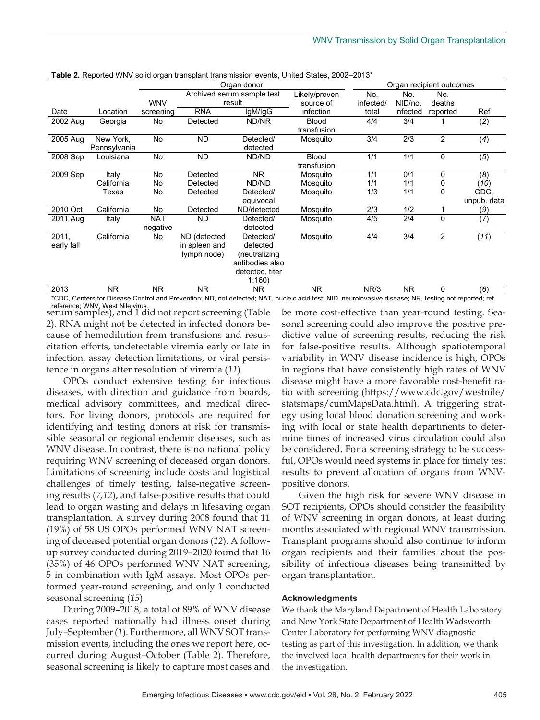|            |              | Organ donor |                            |                 | Organ recipient outcomes |           |           |                |             |
|------------|--------------|-------------|----------------------------|-----------------|--------------------------|-----------|-----------|----------------|-------------|
|            |              |             | Archived serum sample test |                 | Likely/proven            | No.       | No.       | No.            |             |
|            |              | <b>WNV</b>  | result                     |                 | source of                | infected/ | NID/no.   | deaths         |             |
| Date       | Location     | screening   | <b>RNA</b>                 | lgM/lgG         | infection                | total     | infected  | reported       | Ref         |
| 2002 Aug   | Georgia      | No          | Detected                   | ND/NR           | <b>Blood</b>             | 4/4       | 3/4       |                | (2)         |
|            |              |             |                            |                 | transfusion              |           |           |                |             |
| 2005 Aug   | New York,    | No          | <b>ND</b>                  | Detected/       | Mosquito                 | 3/4       | 2/3       | $\overline{2}$ | (4)         |
|            | Pennsylvania |             |                            | detected        |                          |           |           |                |             |
| 2008 Sep   | Louisiana    | No          | <b>ND</b>                  | ND/ND           | <b>Blood</b>             | 1/1       | 1/1       | $\mathbf 0$    | (5)         |
|            |              |             |                            |                 | transfusion              |           |           |                |             |
| 2009 Sep   | Italy        | No          | Detected                   | N <sub>R</sub>  | Mosquito                 | 1/1       | 0/1       | 0              | (8)         |
|            | California   | No          | Detected                   | ND/ND           | Mosquito                 | 1/1       | 1/1       | 0              | (10)        |
|            | Texas        | No          | Detected                   | Detected/       | Mosquito                 | 1/3       | 1/1       | 0              | CDC,        |
|            |              |             |                            | equivocal       |                          |           |           |                | unpub. data |
| 2010 Oct   | California   | No          | Detected                   | ND/detected     | Mosquito                 | 2/3       | 1/2       |                | (9)         |
| 2011 Aug   | Italy        | <b>NAT</b>  | <b>ND</b>                  | Detected/       | Mosquito                 | 4/5       | 2/4       | $\mathbf 0$    | (7)         |
|            |              | negative    |                            | detected        |                          |           |           |                |             |
| 2011,      | California   | No          | ND (detected               | Detected/       | Mosquito                 | 4/4       | 3/4       | $\overline{2}$ | (11)        |
| early fall |              |             | in spleen and              | detected        |                          |           |           |                |             |
|            |              |             | lymph node)                | (neutralizing   |                          |           |           |                |             |
|            |              |             |                            | antibodies also |                          |           |           |                |             |
|            |              |             |                            | detected, titer |                          |           |           |                |             |
|            |              |             |                            | 1:160           |                          |           |           |                |             |
| 2013       | <b>NR</b>    | NR.         | <b>NR</b>                  | <b>NR</b>       | <b>NR</b>                | NR/3      | <b>NR</b> | 0              | (6)         |

**Table 2. Reported WNV solid organ transplant transmission events, United States, 2002–2013\*** 

\*CDC, Centers for Disease Control and Prevention; ND, not detected; NAT, nucleic acid test; NID, neuroinvasive disease; NR, testing not reported; ref, reference; WNV, West Nile virus.

serum samples), and 1 did not report screening (Table 2). RNA might not be detected in infected donors because of hemodilution from transfusions and resuscitation efforts, undetectable viremia early or late in infection, assay detection limitations, or viral persistence in organs after resolution of viremia (*11*).

OPOs conduct extensive testing for infectious diseases, with direction and guidance from boards, medical advisory committees, and medical directors. For living donors, protocols are required for identifying and testing donors at risk for transmissible seasonal or regional endemic diseases, such as WNV disease. In contrast, there is no national policy requiring WNV screening of deceased organ donors. Limitations of screening include costs and logistical challenges of timely testing, false-negative screening results (*7,12*), and false-positive results that could lead to organ wasting and delays in lifesaving organ transplantation. A survey during 2008 found that 11 (19%) of 58 US OPOs performed WNV NAT screening of deceased potential organ donors (*12*). A followup survey conducted during 2019–2020 found that 16 (35%) of 46 OPOs performed WNV NAT screening, 5 in combination with IgM assays. Most OPOs performed year-round screening, and only 1 conducted seasonal screening (*15*).

During 2009–2018, a total of 89% of WNV disease cases reported nationally had illness onset during July–September (*1*). Furthermore, all WNV SOT transmission events, including the ones we report here, occurred during August–October (Table 2). Therefore, seasonal screening is likely to capture most cases and

be more cost-effective than year-round testing. Seasonal screening could also improve the positive predictive value of screening results, reducing the risk for false-positive results. Although spatiotemporal variability in WNV disease incidence is high, OPOs in regions that have consistently high rates of WNV disease might have a more favorable cost-benefit ratio with screening (https://www.cdc.gov/westnile/ statsmaps/cumMapsData.html). A triggering strategy using local blood donation screening and working with local or state health departments to determine times of increased virus circulation could also be considered. For a screening strategy to be successful, OPOs would need systems in place for timely test results to prevent allocation of organs from WNVpositive donors.

Given the high risk for severe WNV disease in SOT recipients, OPOs should consider the feasibility of WNV screening in organ donors, at least during months associated with regional WNV transmission. Transplant programs should also continue to inform organ recipients and their families about the possibility of infectious diseases being transmitted by organ transplantation.

## **Acknowledgments**

We thank the Maryland Department of Health Laboratory and New York State Department of Health Wadsworth Center Laboratory for performing WNV diagnostic testing as part of this investigation. In addition, we thank the involved local health departments for their work in the investigation.